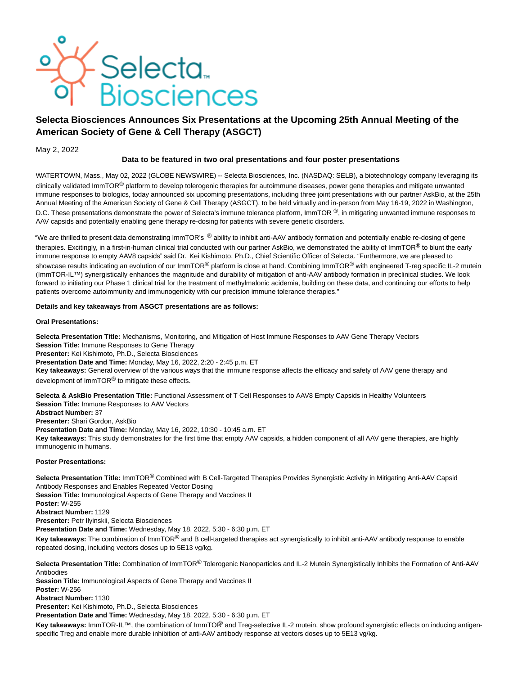

# **Selecta Biosciences Announces Six Presentations at the Upcoming 25th Annual Meeting of the American Society of Gene & Cell Therapy (ASGCT)**

## May 2, 2022

## **Data to be featured in two oral presentations and four poster presentations**

WATERTOWN, Mass., May 02, 2022 (GLOBE NEWSWIRE) -- Selecta Biosciences, Inc. (NASDAQ: SELB), a biotechnology company leveraging its clinically validated ImmTOR<sup>®</sup> platform to develop tolerogenic therapies for autoimmune diseases, power gene therapies and mitigate unwanted immune responses to biologics, today announced six upcoming presentations, including three joint presentations with our partner AskBio, at the 25th Annual Meeting of the American Society of Gene & Cell Therapy (ASGCT), to be held virtually and in-person from May 16-19, 2022 in Washington, D.C. These presentations demonstrate the power of Selecta's immune tolerance platform, ImmTOR  $\mathcal{P}$ , in mitigating unwanted immune responses to AAV capsids and potentially enabling gene therapy re-dosing for patients with severe genetic disorders.

"We are thrilled to present data demonstrating ImmTOR's ® ability to inhibit anti-AAV antibody formation and potentially enable re-dosing of gene therapies. Excitingly, in a first-in-human clinical trial conducted with our partner AskBio, we demonstrated the ability of ImmTOR<sup>®</sup> to blunt the early immune response to empty AAV8 capsids" said Dr. Kei Kishimoto, Ph.D., Chief Scientific Officer of Selecta. "Furthermore, we are pleased to showcase results indicating an evolution of our ImmTOR<sup>®</sup> platform is close at hand. Combining ImmTOR<sup>®</sup> with engineered T-reg specific IL-2 mutein (ImmTOR-IL™) synergistically enhances the magnitude and durability of mitigation of anti-AAV antibody formation in preclinical studies. We look forward to initiating our Phase 1 clinical trial for the treatment of methylmalonic acidemia, building on these data, and continuing our efforts to help patients overcome autoimmunity and immunogenicity with our precision immune tolerance therapies."

### **Details and key takeaways from ASGCT presentations are as follows:**

#### **Oral Presentations:**

**Selecta Presentation Title:** Mechanisms, Monitoring, and Mitigation of Host Immune Responses to AAV Gene Therapy Vectors

**Session Title:** Immune Responses to Gene Therapy **Presenter:** Kei Kishimoto, Ph.D., Selecta Biosciences

**Presentation Date and Time:** Monday, May 16, 2022, 2:20 - 2:45 p.m. ET

**Key takeaways:** General overview of the various ways that the immune response affects the efficacy and safety of AAV gene therapy and development of  $ImmTOR^@$  to mitigate these effects.

**Selecta & AskBio Presentation Title:** Functional Assessment of T Cell Responses to AAV8 Empty Capsids in Healthy Volunteers **Session Title:** Immune Responses to AAV Vectors

**Abstract Number:** 37

**Presenter:** Shari Gordon, AskBio

**Presentation Date and Time:** Monday, May 16, 2022, 10:30 - 10:45 a.m. ET

**Key takeaways:** This study demonstrates for the first time that empty AAV capsids, a hidden component of all AAV gene therapies, are highly immunogenic in humans.

### **Poster Presentations:**

**Selecta Presentation Title:** ImmTOR® Combined with B Cell-Targeted Therapies Provides Synergistic Activity in Mitigating Anti-AAV Capsid Antibody Responses and Enables Repeated Vector Dosing **Session Title:** Immunological Aspects of Gene Therapy and Vaccines II

**Poster:** W-255

**Abstract Number:** 1129

**Presenter:** Petr Ilyinskii, Selecta Biosciences

**Presentation Date and Time:** Wednesday, May 18, 2022, 5:30 - 6:30 p.m. ET

**Key takeaways:** The combination of ImmTOR® and B cell-targeted therapies act synergistically to inhibit anti-AAV antibody response to enable repeated dosing, including vectors doses up to 5E13 vg/kg.

**Selecta Presentation Title:** Combination of ImmTOR® Tolerogenic Nanoparticles and IL-2 Mutein Synergistically Inhibits the Formation of Anti-AAV Antibodies

**Session Title:** Immunological Aspects of Gene Therapy and Vaccines II

**Poster:** W-256

**Abstract Number:** 1130

**Presenter:** Kei Kishimoto, Ph.D., Selecta Biosciences

**Presentation Date and Time:** Wednesday, May 18, 2022, 5:30 - 6:30 p.m. ET

Key takeaways: ImmTOR-IL<sup>™</sup>, the combination of ImmTOR® and Treg-selective IL-2 mutein, show profound synergistic effects on inducing antigenspecific Treg and enable more durable inhibition of anti-AAV antibody response at vectors doses up to 5E13 vg/kg.